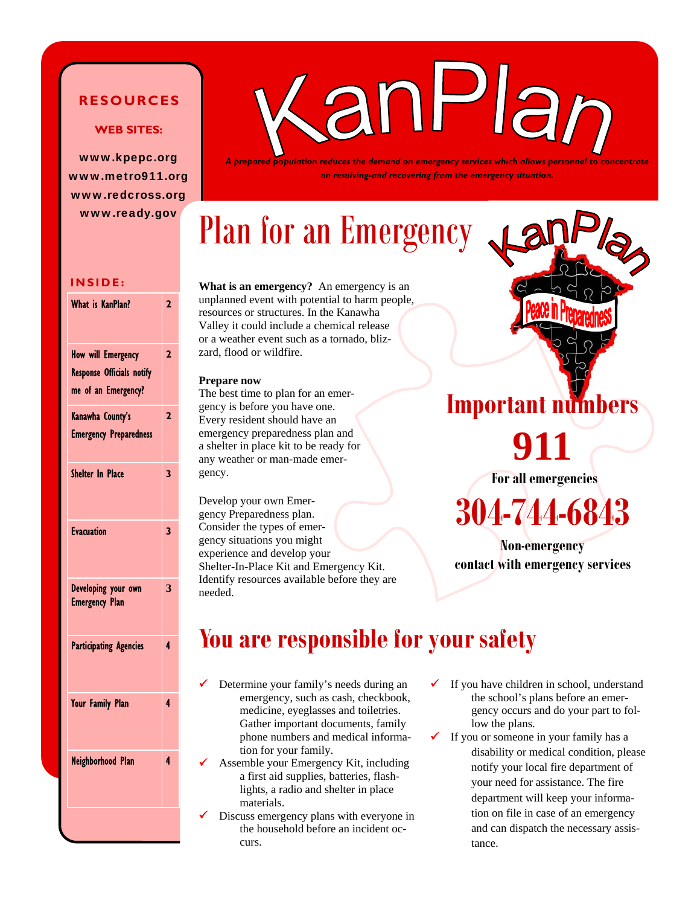#### **RESOURCES**

#### **WEB SITES:**

www.kpepc.org www.metro911.org www.redcross.org www.ready.gov



*A prepared population reduces the demand on emergency services which allows personnel to concentrate on resolving-and recovering from the emergency situation.* 

# Plan for an Emergency

#### **INSIDE:**

| What is KanPlan?                                                                     | $\overline{\mathbf{c}}$ |
|--------------------------------------------------------------------------------------|-------------------------|
| <b>How will Emergency</b><br><b>Response Officials notify</b><br>me of an Emergency? | $\overline{2}$          |
| Kanawha County's<br><b>Emergency Preparedness</b>                                    | $\overline{2}$          |
| <b>Shelter In Place</b>                                                              | 3                       |
| <b>Evacuation</b>                                                                    | 3                       |
| Developing your own<br><b>Emergency Plan</b>                                         | 3                       |
| <b>Participating Agencies</b>                                                        | 4                       |
| <b>Your Family Plan</b>                                                              | 4                       |
| Neighborhood Plan                                                                    | 4                       |
|                                                                                      |                         |

**What is an emergency?** An emergency is an unplanned event with potential to harm people, resources or structures. In the Kanawha Valley it could include a chemical release or a weather event such as a tornado, blizzard, flood or wildfire.

#### **Prepare now**

The best time to plan for an emergency is before you have one. Every resident should have an emergency preparedness plan and a shelter in place kit to be ready for any weather or man-made emergency.

Develop your own Emergency Preparedness plan. Consider the types of emergency situations you might experience and develop your Shelter-In-Place Kit and Emergency Kit. Identify resources available before they are needed.

# **Important nu 911**

**For all emergencies** 

# **304-744-6843**

**Non-emergency contact with emergency services** 

## **You are responsible for your safety**

- Determine your family's needs during an emergency, such as cash, checkbook, medicine, eyeglasses and toiletries. Gather important documents, family phone numbers and medical information for your family.
- 9 Assemble your Emergency Kit, including a first aid supplies, batteries, flashlights, a radio and shelter in place materials.
- Discuss emergency plans with everyone in the household before an incident occurs.
- If you have children in school, understand the school's plans before an emergency occurs and do your part to follow the plans.
	- If you or someone in your family has a disability or medical condition, please notify your local fire department of your need for assistance. The fire department will keep your information on file in case of an emergency and can dispatch the necessary assistance.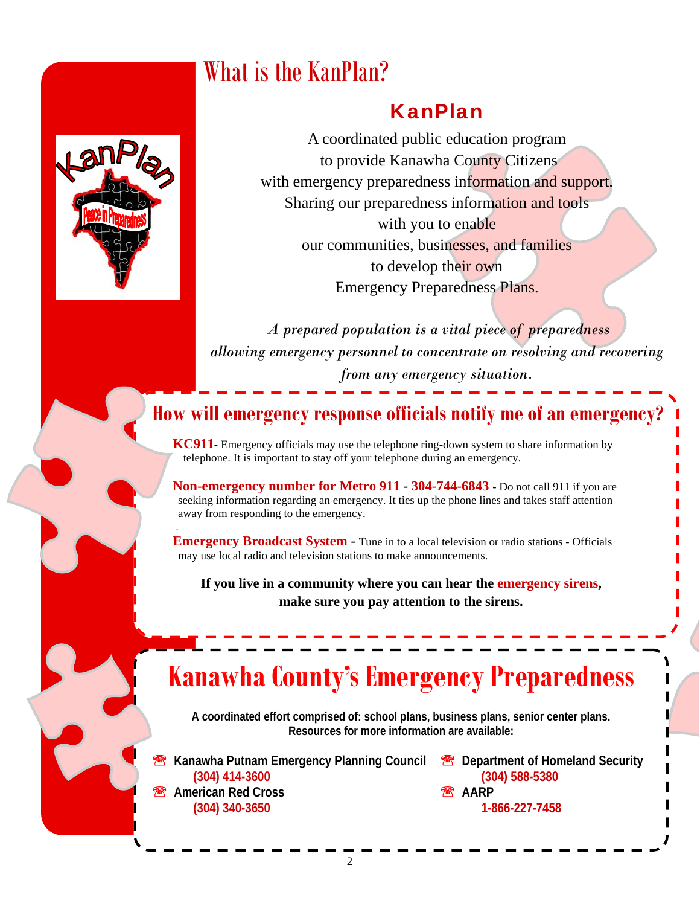## What is the KanPlan?

### KanPlan

A coordinated public education program to provide Kanawha County Citizens with emergency preparedness information and support. Sharing our preparedness information and tools with you to enable our communities, businesses, and families to develop their own Emergency Preparedness Plans.

*A prepared population is a vital piece of preparedness allowing emergency personnel to concentrate on resolving and recovering from any emergency situation.* 

### **How will emergency response officials notify me of an emergency?**

**KC911**- Emergency officials may use the telephone ring-down system to share information by telephone. It is important to stay off your telephone during an emergency.

**Non-emergency number for Metro 911 - 304-744-6843** - Do not call 911 if you are seeking information regarding an emergency. It ties up the phone lines and takes staff attention away from responding to the emergency. .

**Emergency Broadcast System - Tune in to a local television or radio stations - Officials** may use local radio and television stations to make announcements.

**If you live in a community where you can hear the emergency sirens, make sure you pay attention to the sirens.** 

## **Kanawha County's Emergency Preparedness**

**A coordinated effort comprised of: school plans, business plans, senior center plans. Resources for more information are available:** 

**Kanawha Putnam Emergency Planning Council <sup>8</sup> Department of Homeland Security (304) 414-3600 (304) 588-5380 American Red Cross 2.2 Decision and AARP AARP (304) 340-3650 1-866-227-7458**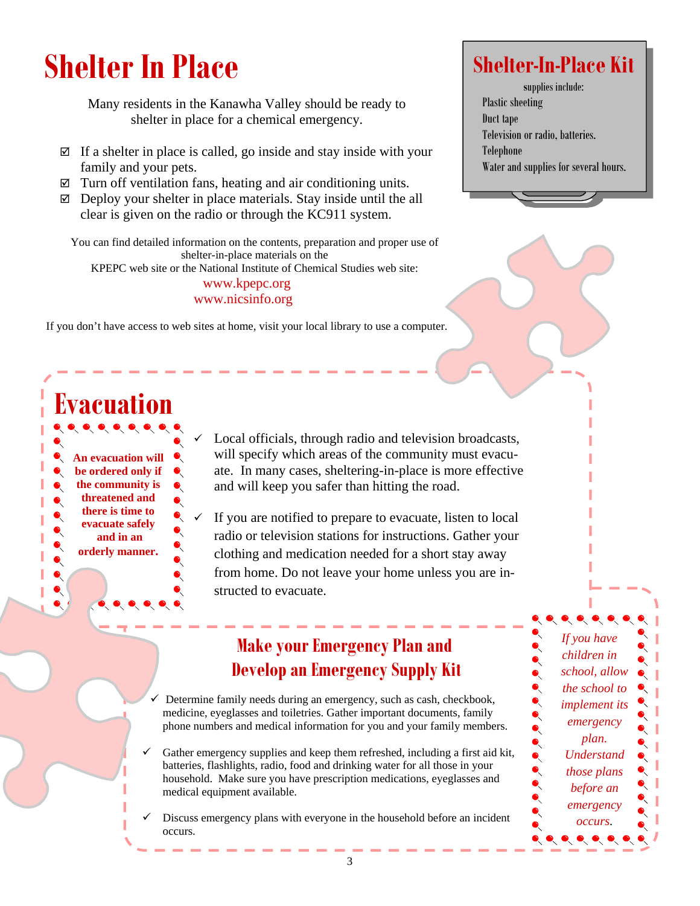# **Shelter In Place**

Many residents in the Kanawha Valley should be ready to shelter in place for a chemical emergency.

- $\boxtimes$  If a shelter in place is called, go inside and stay inside with your family and your pets.
- $\boxtimes$  Turn off ventilation fans, heating and air conditioning units.
- $\boxtimes$  Deploy your shelter in place materials. Stay inside until the all clear is given on the radio or through the KC911 system.

You can find detailed information on the contents, preparation and proper use of shelter-in-place materials on the

KPEPC web site or the National Institute of Chemical Studies web site:

www.kpepc.org www.nicsinfo.org

If you don't have access to web sites at home, visit your local library to use a computer.

#### **Evacuation An evacuation will be ordered only if**  R **the community is**   $\bullet$ **threatened and there is time to evacuate safely and in an orderly manner.**   $\bullet$  $\bullet$

 $\bullet$ 

Local officials, through radio and television broadcasts, will specify which areas of the community must evacuate. In many cases, sheltering-in-place is more effective and will keep you safer than hitting the road.

If you are notified to prepare to evacuate, listen to local radio or television stations for instructions. Gather your clothing and medication needed for a short stay away from home. Do not leave your home unless you are instructed to evacuate.

### **Make your Emergency Plan and Develop an Emergency Supply Kit**

Determine family needs during an emergency, such as cash, checkbook, medicine, eyeglasses and toiletries. Gather important documents, family phone numbers and medical information for you and your family members.

- Gather emergency supplies and keep them refreshed, including a first aid kit, batteries, flashlights, radio, food and drinking water for all those in your household. Make sure you have prescription medications, eyeglasses and medical equipment available.
- Discuss emergency plans with everyone in the household before an incident occurs.

## **Shelter-In-Place Kit**

**s**upplies include: Plastic sheeting Duct tape Television or radio, batteries. Telephone Water and supplies for several hours.

> *If you have children in school, allow the school to implement its emergency plan. Understand those plans before an emergency occurs.*